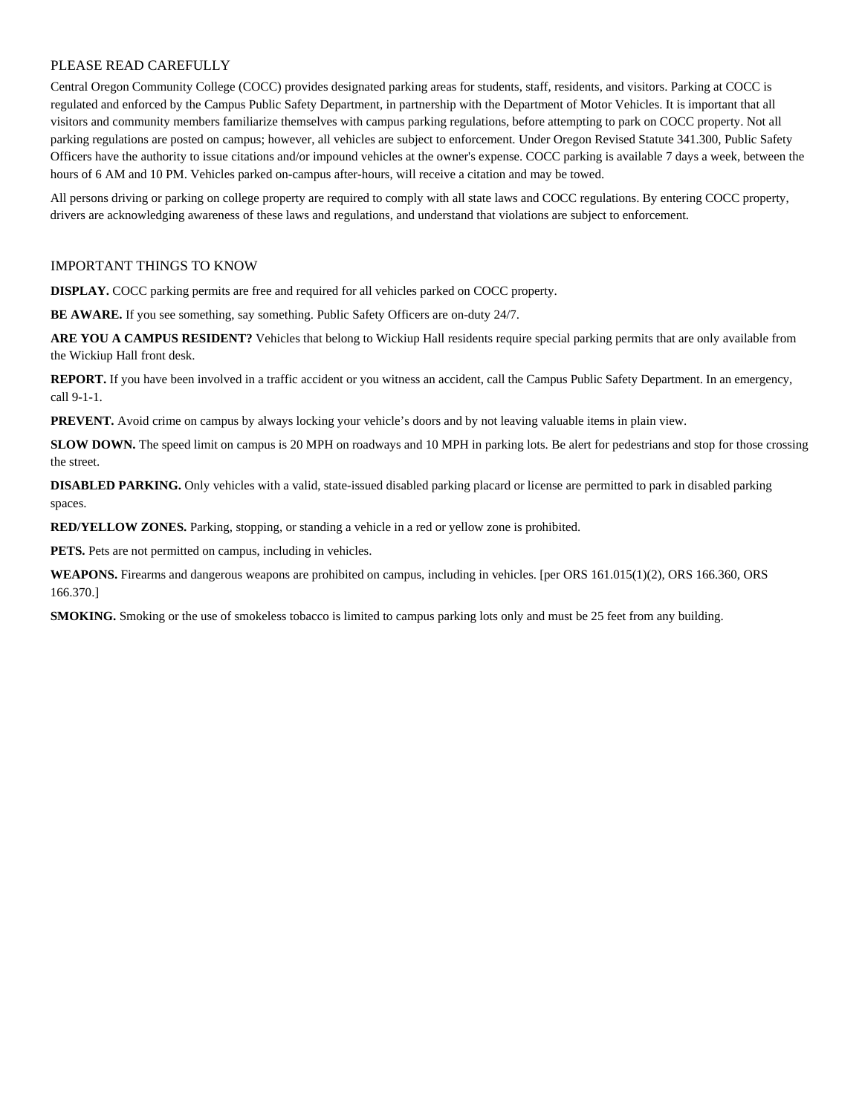### PLEASE READ CAREFULLY

Central Oregon Community College (COCC) provides designated parking areas for students, staff, residents, and visitors. Parking at COCC is regulated and enforced by the Campus Public Safety Department, in partnership with the Department of Motor Vehicles. It is important that all visitors and community members familiarize themselves with campus parking regulations, before attempting to park on COCC property. Not all parking regulations are posted on campus; however, all vehicles are subject to enforcement. Under Oregon Revised Statute 341.300, Public Safety Officers have the authority to issue citations and/or impound vehicles at the owner's expense. COCC parking is available 7 days a week, between the hours of 6 AM and 10 PM. Vehicles parked on-campus after-hours, will receive a citation and may be towed.

All persons driving or parking on college property are required to comply with all state laws and COCC regulations. By entering COCC property, drivers are acknowledging awareness of these laws and regulations, and understand that violations are subject to enforcement.

#### IMPORTANT THINGS TO KNOW

**DISPLAY.** COCC parking permits are free and required for all vehicles parked on COCC property.

**BE AWARE.** If you see something, say something. Public Safety Officers are on-duty 24/7.

**ARE YOU A CAMPUS RESIDENT?** Vehicles that belong to Wickiup Hall residents require special parking permits that are only available from the Wickiup Hall front desk.

**REPORT.** If you have been involved in a traffic accident or you witness an accident, call the Campus Public Safety Department. In an emergency, call 9-1-1.

**PREVENT.** Avoid crime on campus by always locking your vehicle's doors and by not leaving valuable items in plain view.

**SLOW DOWN.** The speed limit on campus is 20 MPH on roadways and 10 MPH in parking lots. Be alert for pedestrians and stop for those crossing the street.

**DISABLED PARKING.** Only vehicles with a valid, state-issued disabled parking placard or license are permitted to park in disabled parking spaces.

**RED/YELLOW ZONES.** Parking, stopping, or standing a vehicle in a red or yellow zone is prohibited.

**PETS.** Pets are not permitted on campus, including in vehicles.

**WEAPONS.** Firearms and dangerous weapons are prohibited on campus, including in vehicles. [per ORS 161.015(1)(2), ORS 166.360, ORS 166.370.]

**SMOKING.** Smoking or the use of smokeless tobacco is limited to campus parking lots only and must be 25 feet from any building.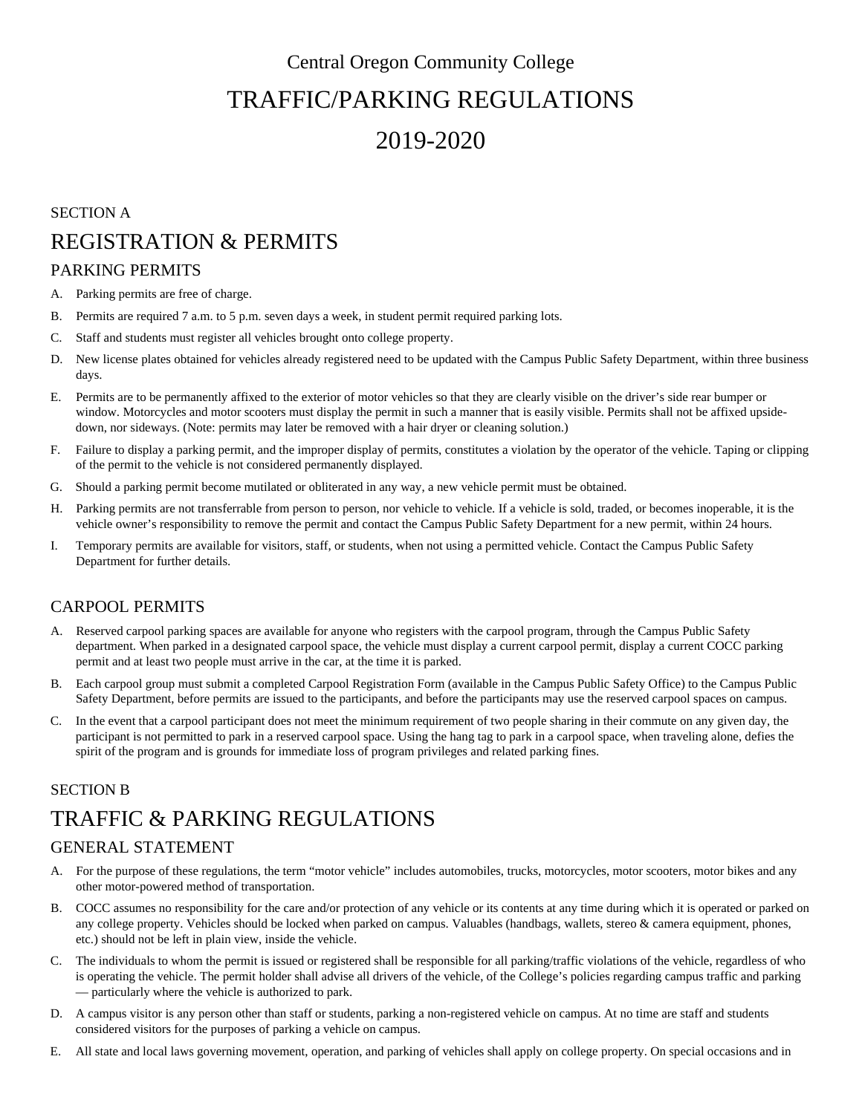# Central Oregon Community College TRAFFIC/PARKING REGULATIONS

# 2019-2020

# SECTION A REGISTRATION & PERMITS

## PARKING PERMITS

- A. Parking permits are free of charge.
- B. Permits are required 7 a.m. to 5 p.m. seven days a week, in student permit required parking lots.
- C. Staff and students must register all vehicles brought onto college property.
- D. New license plates obtained for vehicles already registered need to be updated with the Campus Public Safety Department, within three business days.
- E. Permits are to be permanently affixed to the exterior of motor vehicles so that they are clearly visible on the driver's side rear bumper or window. Motorcycles and motor scooters must display the permit in such a manner that is easily visible. Permits shall not be affixed upsidedown, nor sideways. (Note: permits may later be removed with a hair dryer or cleaning solution.)
- F. Failure to display a parking permit, and the improper display of permits, constitutes a violation by the operator of the vehicle. Taping or clipping of the permit to the vehicle is not considered permanently displayed.
- G. Should a parking permit become mutilated or obliterated in any way, a new vehicle permit must be obtained.
- H. Parking permits are not transferrable from person to person, nor vehicle to vehicle. If a vehicle is sold, traded, or becomes inoperable, it is the vehicle owner's responsibility to remove the permit and contact the Campus Public Safety Department for a new permit, within 24 hours.
- I. Temporary permits are available for visitors, staff, or students, when not using a permitted vehicle. Contact the Campus Public Safety Department for further details.

## CARPOOL PERMITS

- A. Reserved carpool parking spaces are available for anyone who registers with the carpool program, through the Campus Public Safety department. When parked in a designated carpool space, the vehicle must display a current carpool permit, display a current COCC parking permit and at least two people must arrive in the car, at the time it is parked.
- B. Each carpool group must submit a completed Carpool Registration Form (available in the Campus Public Safety Office) to the Campus Public Safety Department, before permits are issued to the participants, and before the participants may use the reserved carpool spaces on campus.
- C. In the event that a carpool participant does not meet the minimum requirement of two people sharing in their commute on any given day, the participant is not permitted to park in a reserved carpool space. Using the hang tag to park in a carpool space, when traveling alone, defies the spirit of the program and is grounds for immediate loss of program privileges and related parking fines.

### SECTION B

# TRAFFIC & PARKING REGULATIONS

### GENERAL STATEMENT

- A. For the purpose of these regulations, the term "motor vehicle" includes automobiles, trucks, motorcycles, motor scooters, motor bikes and any other motor-powered method of transportation.
- B. COCC assumes no responsibility for the care and/or protection of any vehicle or its contents at any time during which it is operated or parked on any college property. Vehicles should be locked when parked on campus. Valuables (handbags, wallets, stereo & camera equipment, phones, etc.) should not be left in plain view, inside the vehicle.
- C. The individuals to whom the permit is issued or registered shall be responsible for all parking/traffic violations of the vehicle, regardless of who is operating the vehicle. The permit holder shall advise all drivers of the vehicle, of the College's policies regarding campus traffic and parking — particularly where the vehicle is authorized to park.
- D. A campus visitor is any person other than staff or students, parking a non-registered vehicle on campus. At no time are staff and students considered visitors for the purposes of parking a vehicle on campus.
- E. All state and local laws governing movement, operation, and parking of vehicles shall apply on college property. On special occasions and in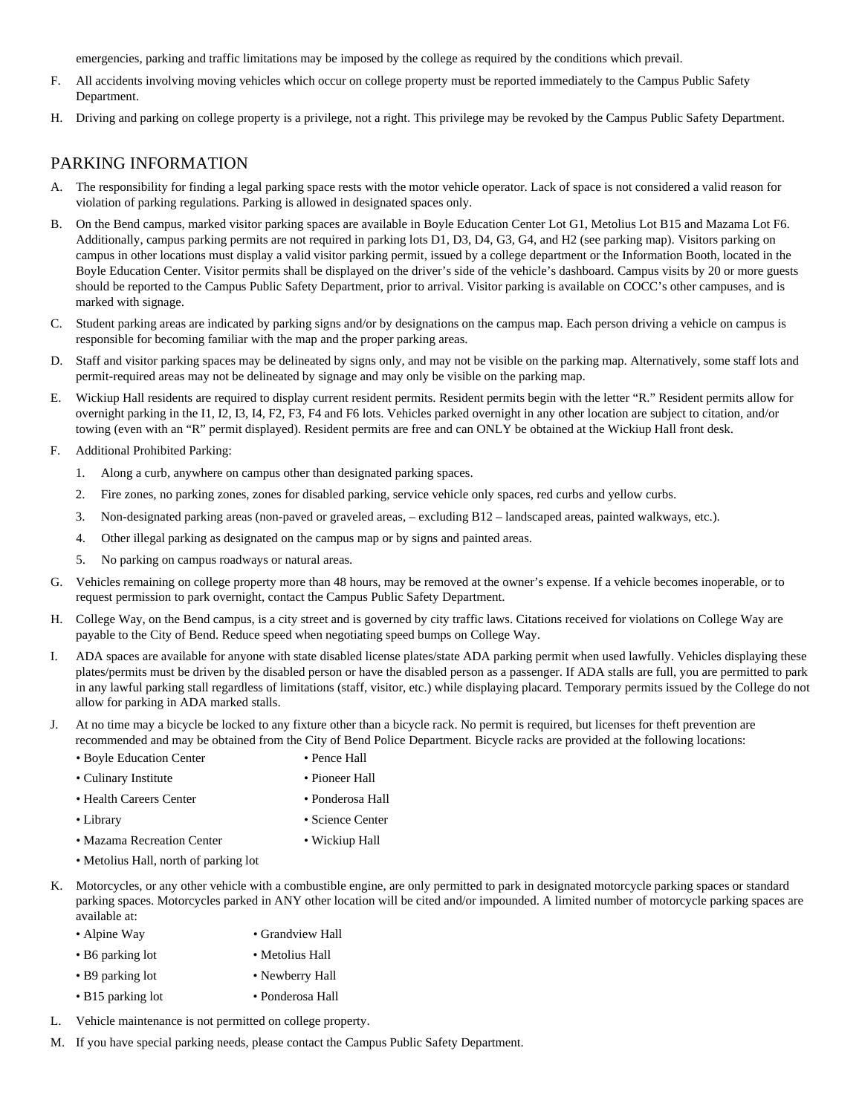emergencies, parking and traffic limitations may be imposed by the college as required by the conditions which prevail.

- F. All accidents involving moving vehicles which occur on college property must be reported immediately to the Campus Public Safety Department.
- H. Driving and parking on college property is a privilege, not a right. This privilege may be revoked by the Campus Public Safety Department.

### PARKING INFORMATION

- A. The responsibility for finding a legal parking space rests with the motor vehicle operator. Lack of space is not considered a valid reason for violation of parking regulations. Parking is allowed in designated spaces only.
- B. On the Bend campus, marked visitor parking spaces are available in Boyle Education Center Lot G1, Metolius Lot B15 and Mazama Lot F6. Additionally, campus parking permits are not required in parking lots D1, D3, D4, G3, G4, and H2 (see parking map). Visitors parking on campus in other locations must display a valid visitor parking permit, issued by a college department or the Information Booth, located in the Boyle Education Center. Visitor permits shall be displayed on the driver's side of the vehicle's dashboard. Campus visits by 20 or more guests should be reported to the Campus Public Safety Department, prior to arrival. Visitor parking is available on COCC's other campuses, and is marked with signage.
- C. Student parking areas are indicated by parking signs and/or by designations on the campus map. Each person driving a vehicle on campus is responsible for becoming familiar with the map and the proper parking areas.
- D. Staff and visitor parking spaces may be delineated by signs only, and may not be visible on the parking map. Alternatively, some staff lots and permit-required areas may not be delineated by signage and may only be visible on the parking map.
- E. Wickiup Hall residents are required to display current resident permits. Resident permits begin with the letter "R." Resident permits allow for overnight parking in the I1, I2, I3, I4, F2, F3, F4 and F6 lots. Vehicles parked overnight in any other location are subject to citation, and/or towing (even with an "R" permit displayed). Resident permits are free and can ONLY be obtained at the Wickiup Hall front desk.
- F. Additional Prohibited Parking:
	- 1. Along a curb, anywhere on campus other than designated parking spaces.
	- 2. Fire zones, no parking zones, zones for disabled parking, service vehicle only spaces, red curbs and yellow curbs.
	- 3. Non-designated parking areas (non-paved or graveled areas, excluding B12 landscaped areas, painted walkways, etc.).
	- 4. Other illegal parking as designated on the campus map or by signs and painted areas.
	- 5. No parking on campus roadways or natural areas.
- G. Vehicles remaining on college property more than 48 hours, may be removed at the owner's expense. If a vehicle becomes inoperable, or to request permission to park overnight, contact the Campus Public Safety Department.
- H. College Way, on the Bend campus, is a city street and is governed by city traffic laws. Citations received for violations on College Way are payable to the City of Bend. Reduce speed when negotiating speed bumps on College Way.
- I. ADA spaces are available for anyone with state disabled license plates/state ADA parking permit when used lawfully. Vehicles displaying these plates/permits must be driven by the disabled person or have the disabled person as a passenger. If ADA stalls are full, you are permitted to park in any lawful parking stall regardless of limitations (staff, visitor, etc.) while displaying placard. Temporary permits issued by the College do not allow for parking in ADA marked stalls.
- J. At no time may a bicycle be locked to any fixture other than a bicycle rack. No permit is required, but licenses for theft prevention are recommended and may be obtained from the City of Bend Police Department. Bicycle racks are provided at the following locations:
	- Boyle Education Center Pence Hall
	- Culinary Institute Pioneer Hall
	- Health Careers Center Ponderosa Hall
		-

- 
- Library Science Center
- Mazama Recreation Center Wickiup Hall
	-
- Metolius Hall, north of parking lot
- K. Motorcycles, or any other vehicle with a combustible engine, are only permitted to park in designated motorcycle parking spaces or standard parking spaces. Motorcycles parked in ANY other location will be cited and/or impounded. A limited number of motorcycle parking spaces are available at:
	- Alpine Way Grandview Hall
	- B6 parking lot Metolius Hall
	- B9 parking lot Newberry Hall
	- B15 parking lot Ponderosa Hall
- L. Vehicle maintenance is not permitted on college property.
- M. If you have special parking needs, please contact the Campus Public Safety Department.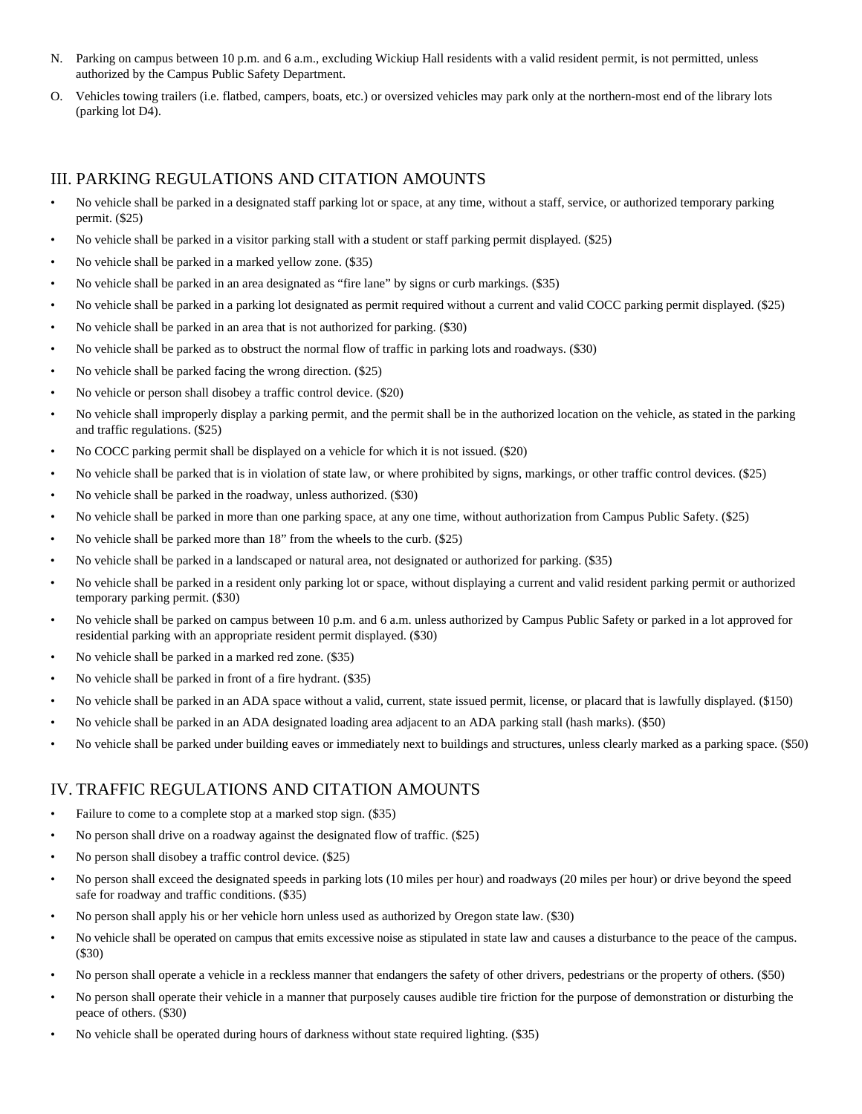- N. Parking on campus between 10 p.m. and 6 a.m., excluding Wickiup Hall residents with a valid resident permit, is not permitted, unless authorized by the Campus Public Safety Department.
- O. Vehicles towing trailers (i.e. flatbed, campers, boats, etc.) or oversized vehicles may park only at the northern-most end of the library lots (parking lot D4).

### III. PARKING REGULATIONS AND CITATION AMOUNTS

- No vehicle shall be parked in a designated staff parking lot or space, at any time, without a staff, service, or authorized temporary parking permit. (\$25)
- No vehicle shall be parked in a visitor parking stall with a student or staff parking permit displayed. (\$25)
- No vehicle shall be parked in a marked yellow zone. (\$35)
- No vehicle shall be parked in an area designated as "fire lane" by signs or curb markings. (\$35)
- No vehicle shall be parked in a parking lot designated as permit required without a current and valid COCC parking permit displayed. (\$25)
- No vehicle shall be parked in an area that is not authorized for parking. (\$30)
- No vehicle shall be parked as to obstruct the normal flow of traffic in parking lots and roadways. (\$30)
- No vehicle shall be parked facing the wrong direction. (\$25)
- No vehicle or person shall disobey a traffic control device. (\$20)
- No vehicle shall improperly display a parking permit, and the permit shall be in the authorized location on the vehicle, as stated in the parking and traffic regulations. (\$25)
- No COCC parking permit shall be displayed on a vehicle for which it is not issued. (\$20)
- No vehicle shall be parked that is in violation of state law, or where prohibited by signs, markings, or other traffic control devices. (\$25)
- No vehicle shall be parked in the roadway, unless authorized. (\$30)
- No vehicle shall be parked in more than one parking space, at any one time, without authorization from Campus Public Safety. (\$25)
- No vehicle shall be parked more than 18" from the wheels to the curb. (\$25)
- No vehicle shall be parked in a landscaped or natural area, not designated or authorized for parking. (\$35)
- No vehicle shall be parked in a resident only parking lot or space, without displaying a current and valid resident parking permit or authorized temporary parking permit. (\$30)
- No vehicle shall be parked on campus between 10 p.m. and 6 a.m. unless authorized by Campus Public Safety or parked in a lot approved for residential parking with an appropriate resident permit displayed. (\$30)
- No vehicle shall be parked in a marked red zone. (\$35)
- No vehicle shall be parked in front of a fire hydrant. (\$35)
- No vehicle shall be parked in an ADA space without a valid, current, state issued permit, license, or placard that is lawfully displayed. (\$150)
- No vehicle shall be parked in an ADA designated loading area adjacent to an ADA parking stall (hash marks). (\$50)
- No vehicle shall be parked under building eaves or immediately next to buildings and structures, unless clearly marked as a parking space. (\$50)

### IV. TRAFFIC REGULATIONS AND CITATION AMOUNTS

- Failure to come to a complete stop at a marked stop sign. (\$35)
- No person shall drive on a roadway against the designated flow of traffic. (\$25)
- No person shall disobey a traffic control device. (\$25)
- No person shall exceed the designated speeds in parking lots (10 miles per hour) and roadways (20 miles per hour) or drive beyond the speed safe for roadway and traffic conditions. (\$35)
- No person shall apply his or her vehicle horn unless used as authorized by Oregon state law. (\$30)
- No vehicle shall be operated on campus that emits excessive noise as stipulated in state law and causes a disturbance to the peace of the campus. (\$30)
- No person shall operate a vehicle in a reckless manner that endangers the safety of other drivers, pedestrians or the property of others. (\$50)
- No person shall operate their vehicle in a manner that purposely causes audible tire friction for the purpose of demonstration or disturbing the peace of others. (\$30)
- No vehicle shall be operated during hours of darkness without state required lighting. (\$35)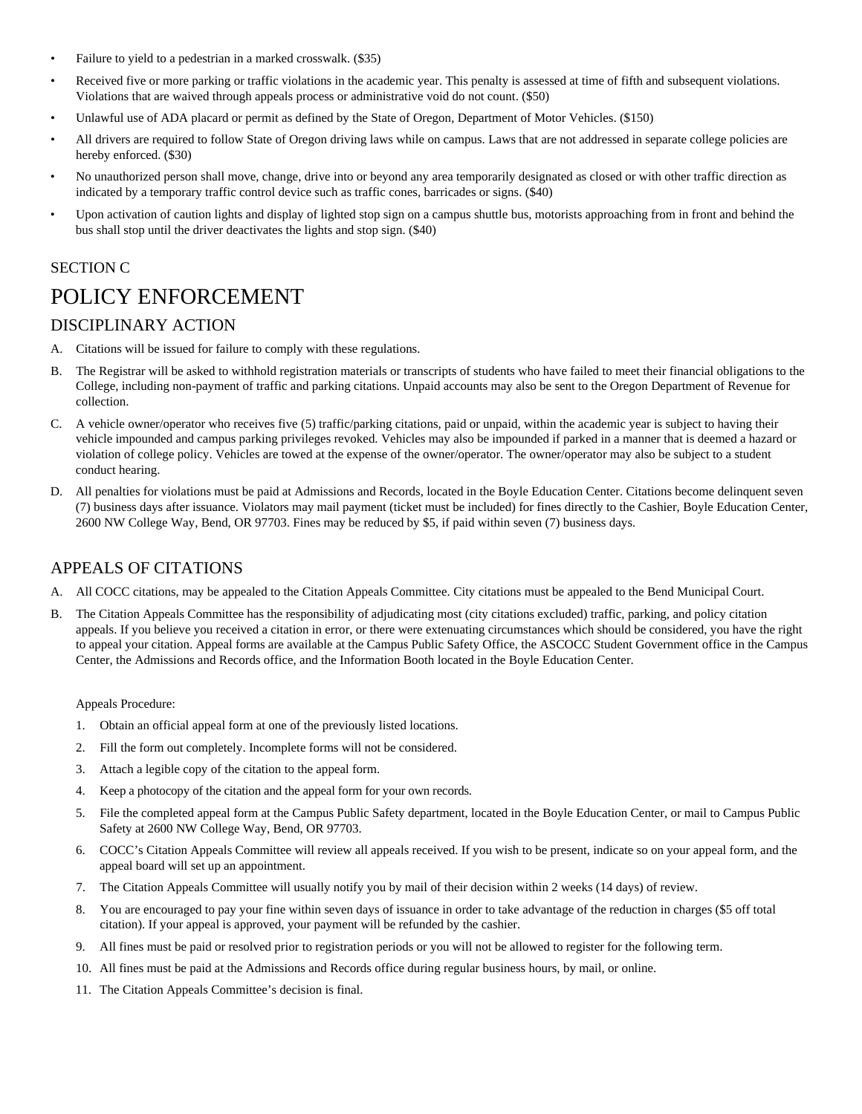- Failure to yield to a pedestrian in a marked crosswalk. (\$35)
- Received five or more parking or traffic violations in the academic year. This penalty is assessed at time of fifth and subsequent violations. Violations that are waived through appeals process or administrative void do not count. (\$50)
- Unlawful use of ADA placard or permit as defined by the State of Oregon, Department of Motor Vehicles. (\$150)
- All drivers are required to follow State of Oregon driving laws while on campus. Laws that are not addressed in separate college policies are hereby enforced. (\$30)
- No unauthorized person shall move, change, drive into or beyond any area temporarily designated as closed or with other traffic direction as indicated by a temporary traffic control device such as traffic cones, barricades or signs. (\$40)
- Upon activation of caution lights and display of lighted stop sign on a campus shuttle bus, motorists approaching from in front and behind the bus shall stop until the driver deactivates the lights and stop sign. (\$40)

### SECTION C

# POLICY ENFORCEMENT

### DISCIPLINARY ACTION

- A. Citations will be issued for failure to comply with these regulations.
- B. The Registrar will be asked to withhold registration materials or transcripts of students who have failed to meet their financial obligations to the College, including non-payment of traffic and parking citations. Unpaid accounts may also be sent to the Oregon Department of Revenue for collection.
- C. A vehicle owner/operator who receives five (5) traffic/parking citations, paid or unpaid, within the academic year is subject to having their vehicle impounded and campus parking privileges revoked. Vehicles may also be impounded if parked in a manner that is deemed a hazard or violation of college policy. Vehicles are towed at the expense of the owner/operator. The owner/operator may also be subject to a student conduct hearing.
- D. All penalties for violations must be paid at Admissions and Records, located in the Boyle Education Center. Citations become delinquent seven (7) business days after issuance. Violators may mail payment (ticket must be included) for fines directly to the Cashier, Boyle Education Center, 2600 NW College Way, Bend, OR 97703. Fines may be reduced by \$5, if paid within seven (7) business days.

### APPEALS OF CITATIONS

- A. All COCC citations, may be appealed to the Citation Appeals Committee. City citations must be appealed to the Bend Municipal Court.
- B. The Citation Appeals Committee has the responsibility of adjudicating most (city citations excluded) traffic, parking, and policy citation appeals. If you believe you received a citation in error, or there were extenuating circumstances which should be considered, you have the right to appeal your citation. Appeal forms are available at the Campus Public Safety Office, the ASCOCC Student Government office in the Campus Center, the Admissions and Records office, and the Information Booth located in the Boyle Education Center.

#### Appeals Procedure:

- 1. Obtain an official appeal form at one of the previously listed locations.
- 2. Fill the form out completely. Incomplete forms will not be considered.
- 3. Attach a legible copy of the citation to the appeal form.
- 4. Keep a photocopy of the citation and the appeal form for your own records.
- 5. File the completed appeal form at the Campus Public Safety department, located in the Boyle Education Center, or mail to Campus Public Safety at 2600 NW College Way, Bend, OR 97703.
- 6. COCC's Citation Appeals Committee will review all appeals received. If you wish to be present, indicate so on your appeal form, and the appeal board will set up an appointment.
- 7. The Citation Appeals Committee will usually notify you by mail of their decision within 2 weeks (14 days) of review.
- 8. You are encouraged to pay your fine within seven days of issuance in order to take advantage of the reduction in charges (\$5 off total citation). If your appeal is approved, your payment will be refunded by the cashier.
- 9. All fines must be paid or resolved prior to registration periods or you will not be allowed to register for the following term.
- 10. All fines must be paid at the Admissions and Records office during regular business hours, by mail, or online.
- 11. The Citation Appeals Committee's decision is final.